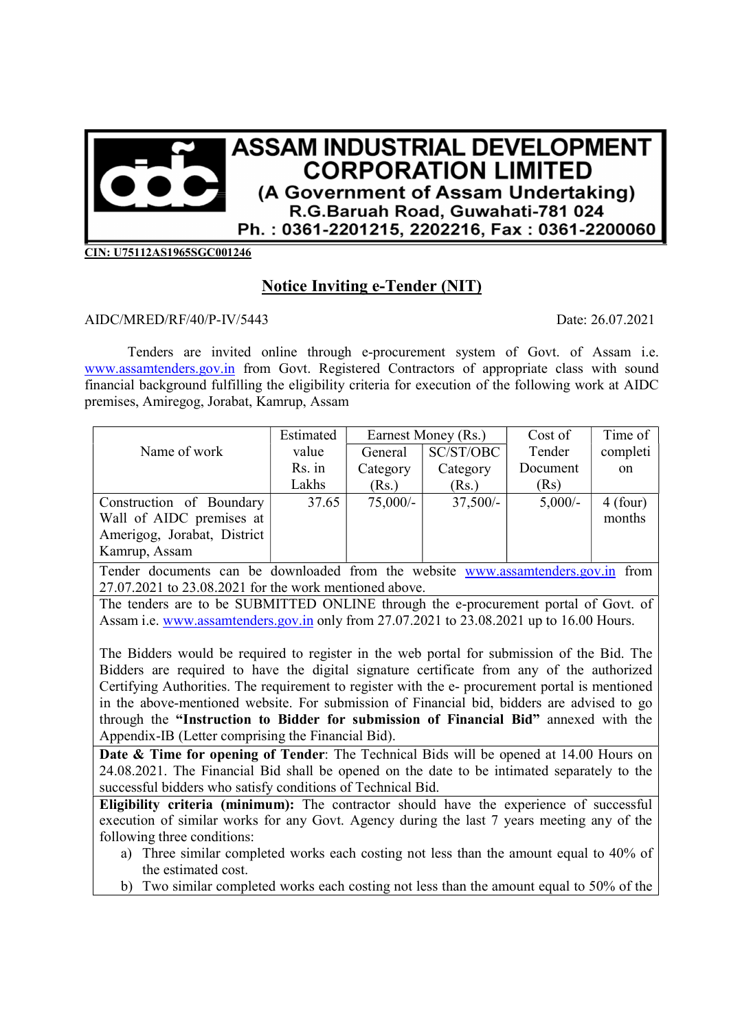

CIN: U75112AS1965SGC001246

## Notice Inviting e-Tender (NIT)

## AIDC/MRED/RF/40/P-IV/5443 Date: 26.07.2021

Tenders are invited online through e-procurement system of Govt. of Assam i.e. www.assamtenders.gov.in from Govt. Registered Contractors of appropriate class with sound financial background fulfilling the eligibility criteria for execution of the following work at AIDC premises, Amiregog, Jorabat, Kamrup, Assam

|                             | Estimated | Earnest Money (Rs.) |            | Cost of   | Time of       |
|-----------------------------|-----------|---------------------|------------|-----------|---------------|
| Name of work                | value     | General             | SC/ST/OBC  | Tender    | completi      |
|                             | Rs. in    | Category            | Category   | Document  | <sub>on</sub> |
|                             | Lakhs     | (Rs.)               | (Rs.)      | (Rs)      |               |
| Construction of Boundary    | 37.65     | $75,000/$ -         | $37,500/-$ | $5,000/-$ | $4$ (four)    |
| Wall of AIDC premises at    |           |                     |            |           | months        |
| Amerigog, Jorabat, District |           |                     |            |           |               |
| Kamrup, Assam               |           |                     |            |           |               |

Tender documents can be downloaded from the website www.assamtenders.gov.in from 27.07.2021 to 23.08.2021 for the work mentioned above.

The tenders are to be SUBMITTED ONLINE through the e-procurement portal of Govt. of Assam i.e. www.assamtenders.gov.in only from 27.07.2021 to 23.08.2021 up to 16.00 Hours.

The Bidders would be required to register in the web portal for submission of the Bid. The Bidders are required to have the digital signature certificate from any of the authorized Certifying Authorities. The requirement to register with the e- procurement portal is mentioned in the above-mentioned website. For submission of Financial bid, bidders are advised to go through the "Instruction to Bidder for submission of Financial Bid" annexed with the Appendix-IB (Letter comprising the Financial Bid).

Date & Time for opening of Tender: The Technical Bids will be opened at 14.00 Hours on 24.08.2021. The Financial Bid shall be opened on the date to be intimated separately to the successful bidders who satisfy conditions of Technical Bid.

Eligibility criteria (minimum): The contractor should have the experience of successful execution of similar works for any Govt. Agency during the last 7 years meeting any of the following three conditions:

- a) Three similar completed works each costing not less than the amount equal to 40% of the estimated cost.
- b) Two similar completed works each costing not less than the amount equal to 50% of the